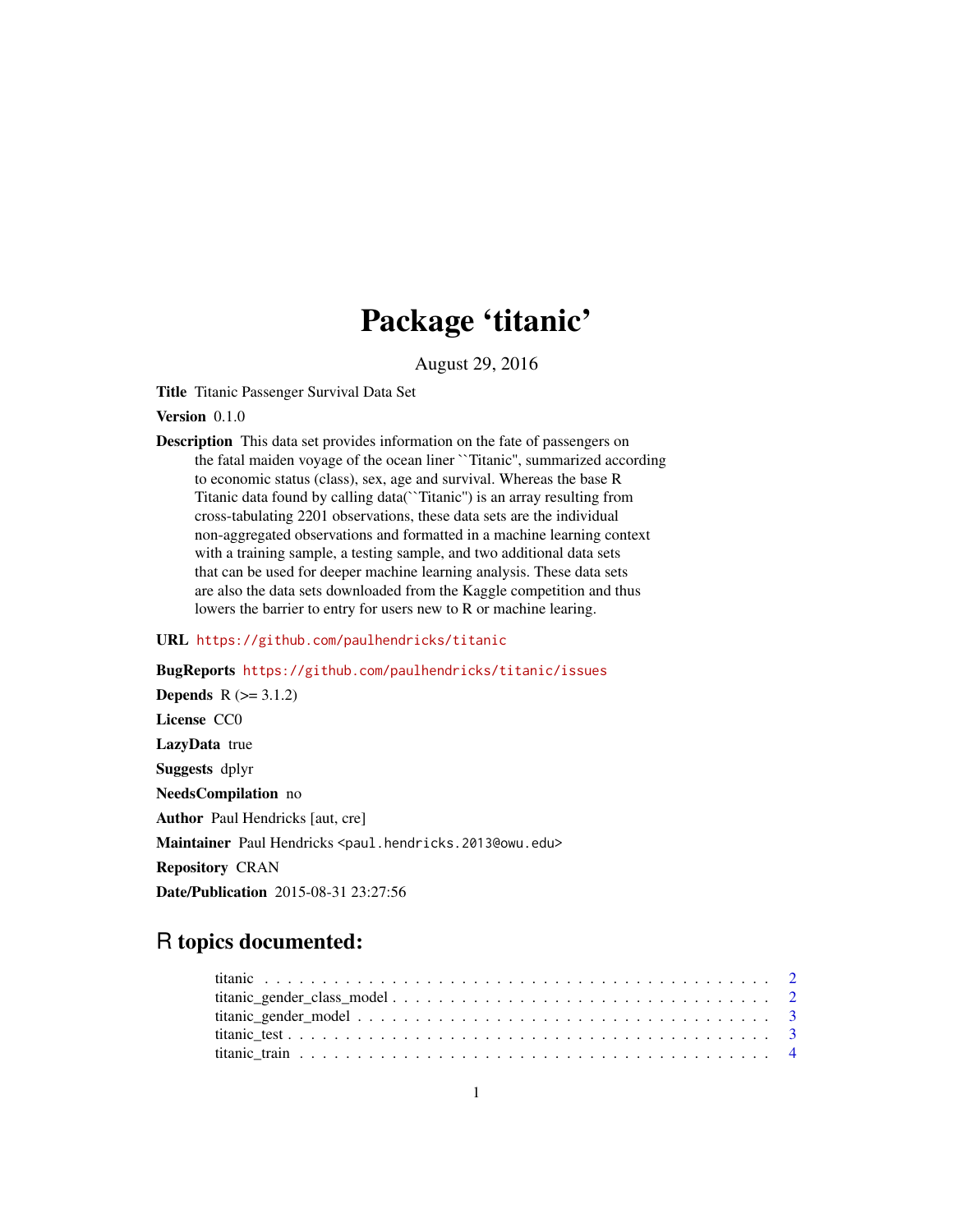## Package 'titanic'

August 29, 2016

Title Titanic Passenger Survival Data Set

Version 0.1.0

Description This data set provides information on the fate of passengers on the fatal maiden voyage of the ocean liner ``Titanic'', summarized according to economic status (class), sex, age and survival. Whereas the base R Titanic data found by calling data(``Titanic'') is an array resulting from cross-tabulating 2201 observations, these data sets are the individual non-aggregated observations and formatted in a machine learning context with a training sample, a testing sample, and two additional data sets that can be used for deeper machine learning analysis. These data sets are also the data sets downloaded from the Kaggle competition and thus lowers the barrier to entry for users new to R or machine learing.

#### URL <https://github.com/paulhendricks/titanic>

BugReports <https://github.com/paulhendricks/titanic/issues> **Depends**  $R (= 3.1.2)$ License CC0 LazyData true Suggests dplyr NeedsCompilation no Author Paul Hendricks [aut, cre] Maintainer Paul Hendricks <paul.hendricks.2013@owu.edu> Repository CRAN Date/Publication 2015-08-31 23:27:56

### R topics documented: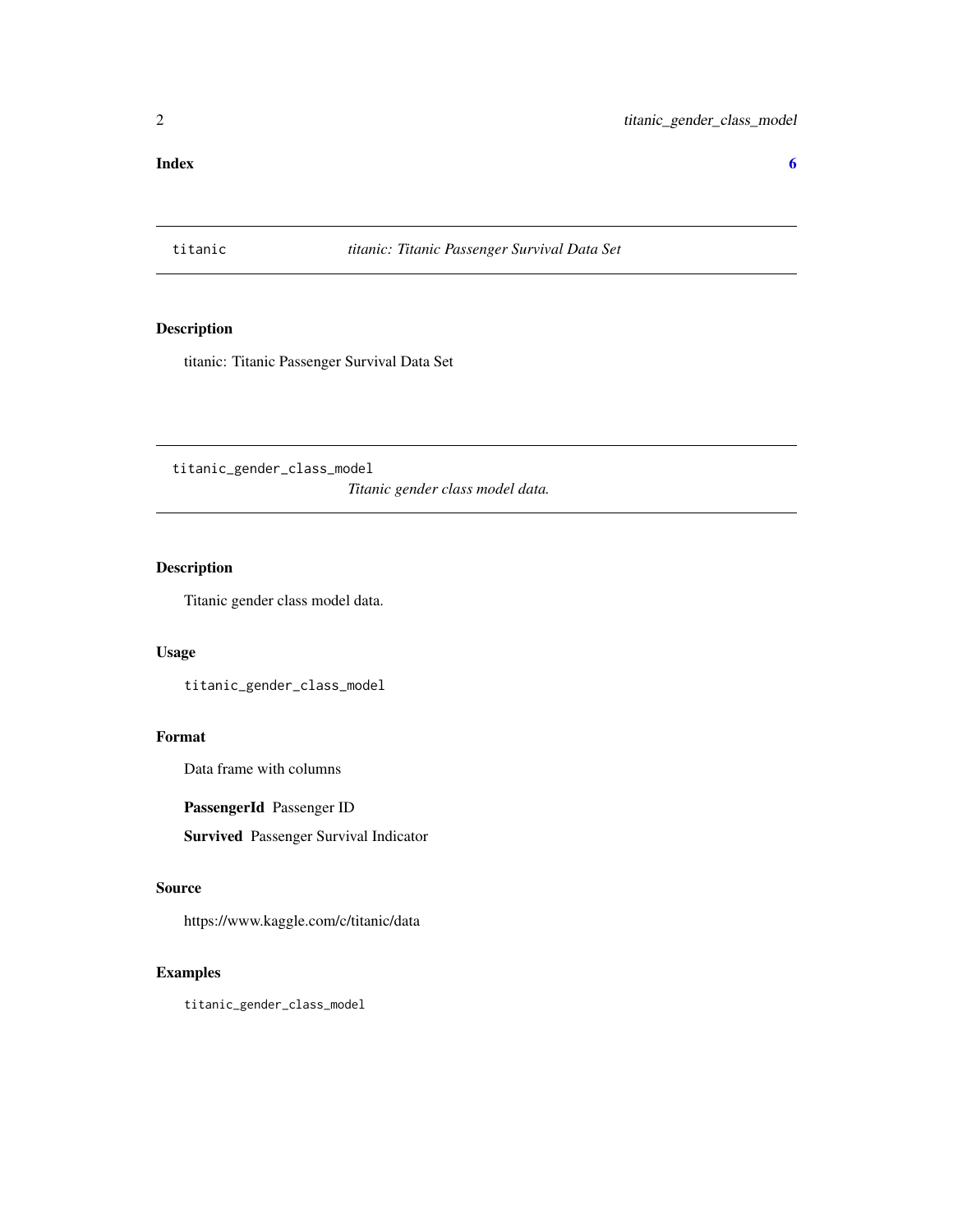#### <span id="page-1-0"></span>**Index** [6](#page-5-0) **6**

titanic *titanic: Titanic Passenger Survival Data Set*

#### Description

titanic: Titanic Passenger Survival Data Set

titanic\_gender\_class\_model *Titanic gender class model data.*

#### Description

Titanic gender class model data.

#### Usage

titanic\_gender\_class\_model

#### Format

Data frame with columns

#### PassengerId Passenger ID

Survived Passenger Survival Indicator

#### Source

https://www.kaggle.com/c/titanic/data

#### Examples

titanic\_gender\_class\_model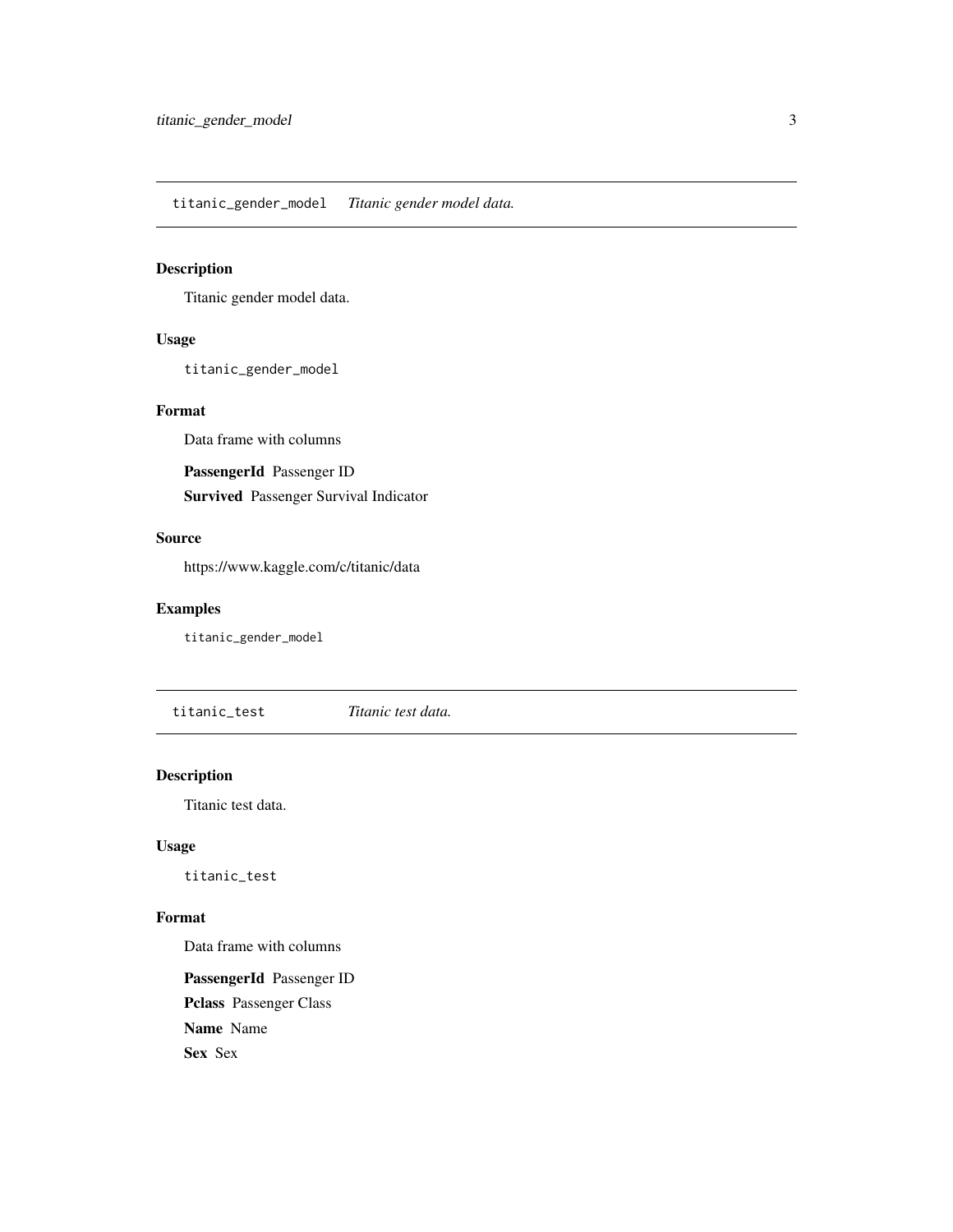<span id="page-2-0"></span>titanic\_gender\_model *Titanic gender model data.*

#### Description

Titanic gender model data.

#### Usage

titanic\_gender\_model

#### Format

Data frame with columns

PassengerId Passenger ID

Survived Passenger Survival Indicator

#### Source

https://www.kaggle.com/c/titanic/data

#### Examples

titanic\_gender\_model

titanic\_test *Titanic test data.*

#### Description

Titanic test data.

#### Usage

titanic\_test

#### Format

Data frame with columns

PassengerId Passenger ID Pclass Passenger Class Name Name Sex Sex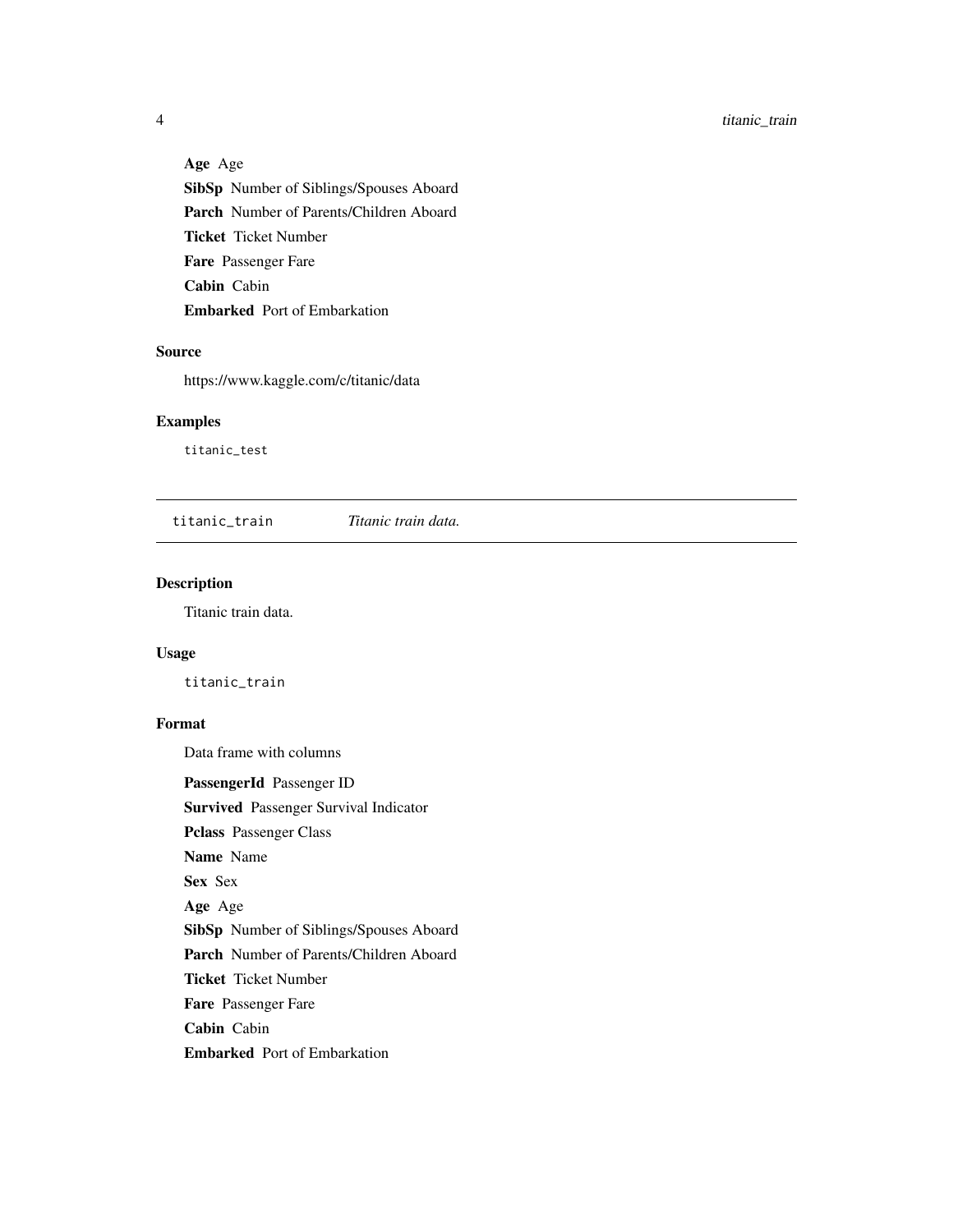Age Age SibSp Number of Siblings/Spouses Aboard Parch Number of Parents/Children Aboard Ticket Ticket Number Fare Passenger Fare Cabin Cabin Embarked Port of Embarkation

#### Source

https://www.kaggle.com/c/titanic/data

#### Examples

titanic\_test

titanic\_train *Titanic train data.*

#### Description

Titanic train data.

#### Usage

titanic\_train

#### Format

Data frame with columns

PassengerId Passenger ID

Survived Passenger Survival Indicator

Pclass Passenger Class

Name Name

Sex Sex

Age Age

SibSp Number of Siblings/Spouses Aboard

Parch Number of Parents/Children Aboard

Ticket Ticket Number

Fare Passenger Fare

Cabin Cabin

Embarked Port of Embarkation

<span id="page-3-0"></span>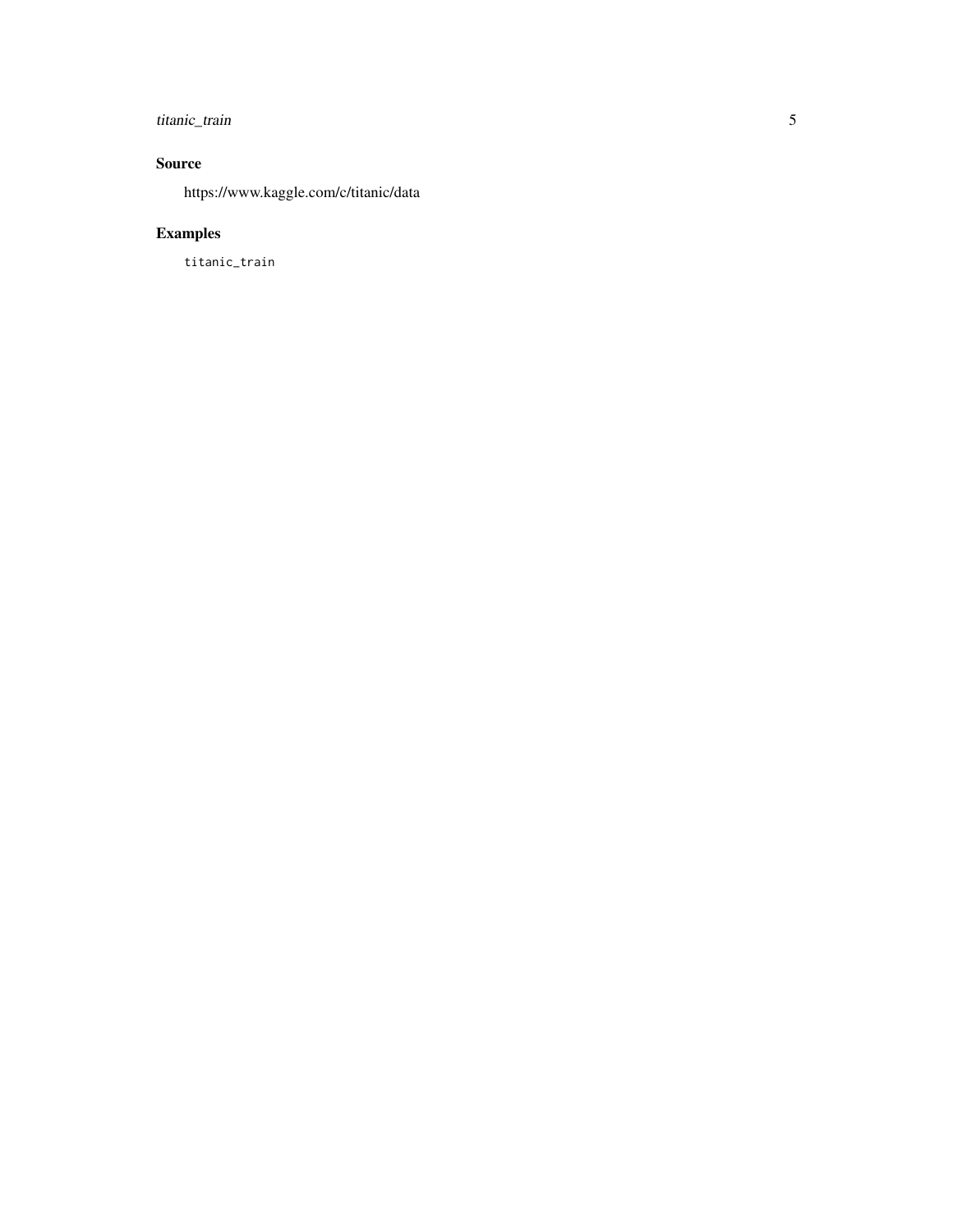#### titanic\_train 5

#### Source

https://www.kaggle.com/c/titanic/data

#### Examples

titanic\_train